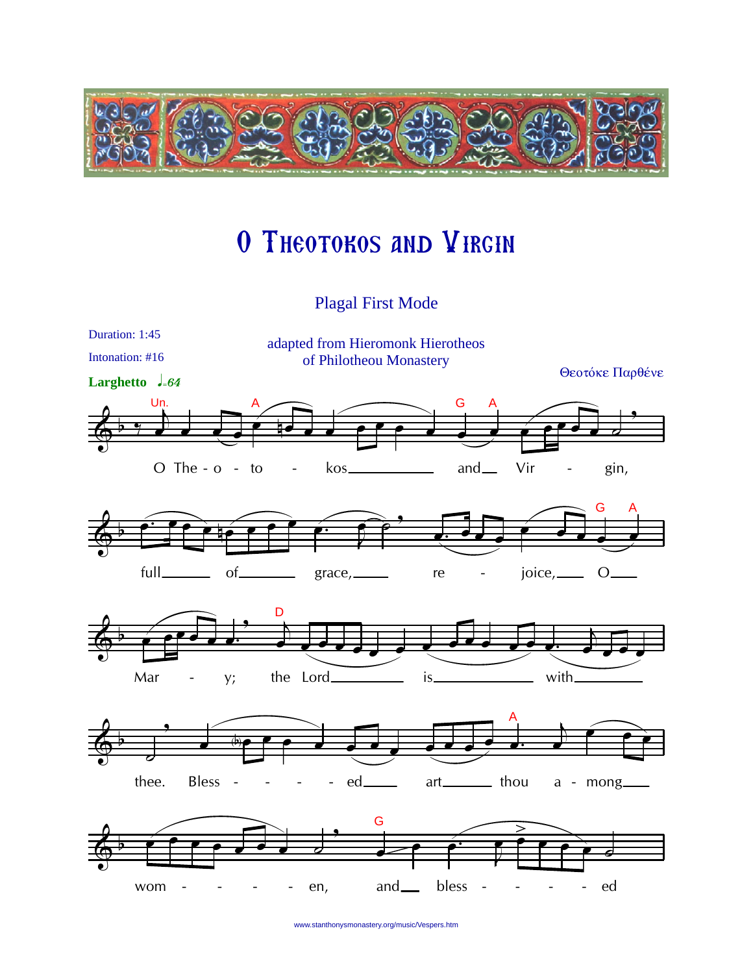

## O THEOTOKOS AND VIRGIN

**Plagal First Mode** 



www.stanthonysmonastery.org/music/Vespers.htm